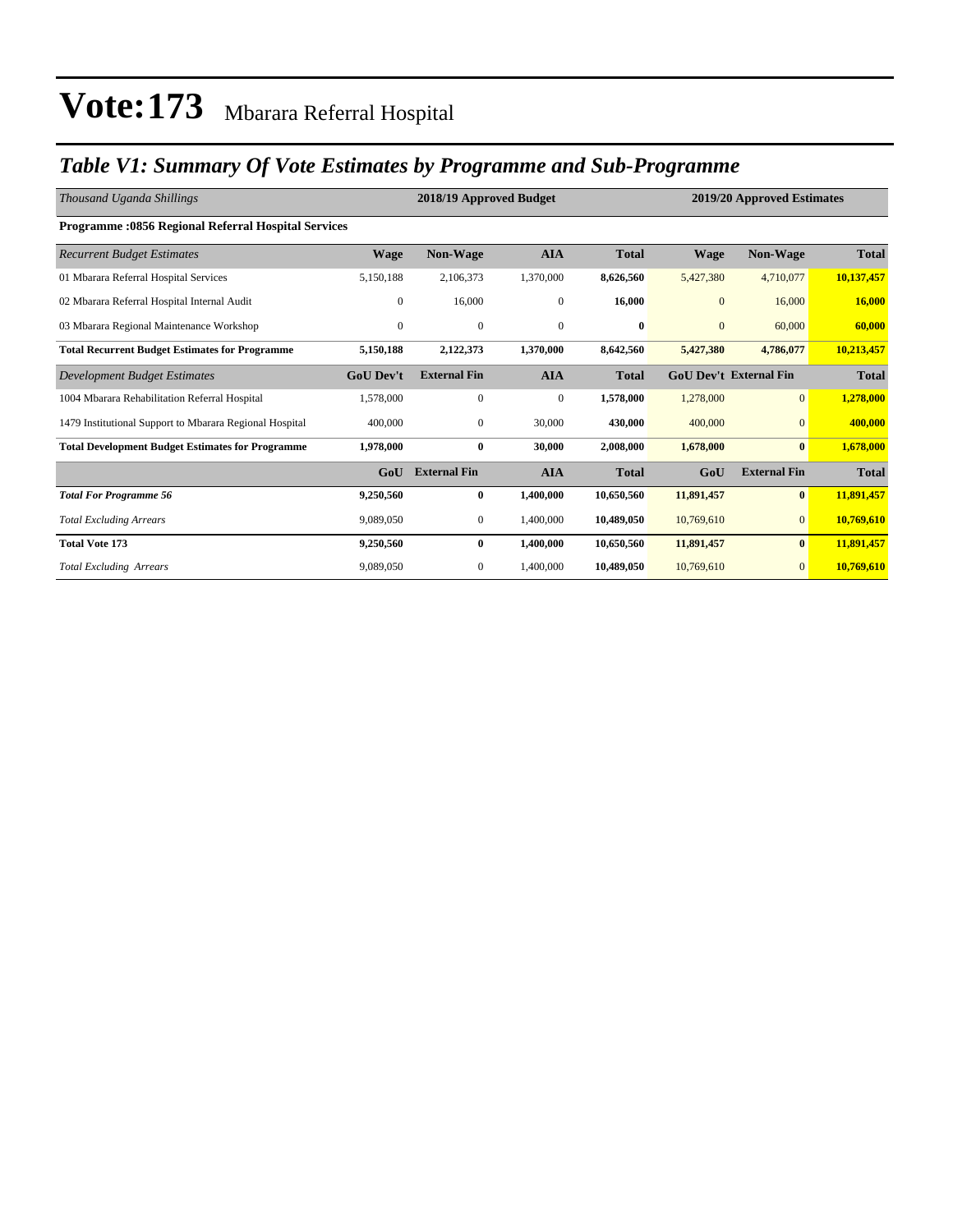### *Table V1: Summary Of Vote Estimates by Programme and Sub-Programme*

| Thousand Uganda Shillings                                  |                  | 2018/19 Approved Budget<br>2019/20 Approved Estimates |                  |              |                |                               |              |
|------------------------------------------------------------|------------------|-------------------------------------------------------|------------------|--------------|----------------|-------------------------------|--------------|
| <b>Programme: 0856 Regional Referral Hospital Services</b> |                  |                                                       |                  |              |                |                               |              |
| <b>Recurrent Budget Estimates</b>                          | <b>Wage</b>      | <b>Non-Wage</b>                                       | <b>AIA</b>       | <b>Total</b> | <b>Wage</b>    | Non-Wage                      | <b>Total</b> |
| 01 Mbarara Referral Hospital Services                      | 5,150,188        | 2,106,373                                             | 1,370,000        | 8,626,560    | 5,427,380      | 4,710,077                     | 10,137,457   |
| 02 Mbarara Referral Hospital Internal Audit                | $\overline{0}$   | 16,000                                                | $\overline{0}$   | 16,000       | $\mathbf{0}$   | 16,000                        | 16,000       |
| 03 Mbarara Regional Maintenance Workshop                   | $\overline{0}$   | $\mathbf{0}$                                          | $\mathbf{0}$     | $\bf{0}$     | $\overline{0}$ | 60,000                        | 60,000       |
| <b>Total Recurrent Budget Estimates for Programme</b>      | 5,150,188        | 2,122,373                                             | 1,370,000        | 8,642,560    | 5,427,380      | 4,786,077                     | 10,213,457   |
| Development Budget Estimates                               | <b>GoU</b> Dev't | <b>External Fin</b>                                   | <b>AIA</b>       | <b>Total</b> |                | <b>GoU Dev't External Fin</b> | <b>Total</b> |
| 1004 Mbarara Rehabilitation Referral Hospital              | 1,578,000        | $\mathbf{0}$                                          | $\boldsymbol{0}$ | 1,578,000    | 1,278,000      | $\mathbf{0}$                  | 1,278,000    |
| 1479 Institutional Support to Mbarara Regional Hospital    | 400,000          | $\mathbf{0}$                                          | 30,000           | 430,000      | 400,000        | $\mathbf{0}$                  | 400,000      |
| <b>Total Development Budget Estimates for Programme</b>    | 1,978,000        | $\bf{0}$                                              | 30,000           | 2,008,000    | 1,678,000      | $\mathbf{0}$                  | 1,678,000    |
|                                                            | GoU              | <b>External Fin</b>                                   | <b>AIA</b>       | <b>Total</b> | GoU            | <b>External Fin</b>           | <b>Total</b> |
| <b>Total For Programme 56</b>                              | 9,250,560        | $\bf{0}$                                              | 1,400,000        | 10,650,560   | 11,891,457     | $\vert 0 \vert$               | 11,891,457   |
| <b>Total Excluding Arrears</b>                             | 9,089,050        | $\mathbf{0}$                                          | 1,400,000        | 10,489,050   | 10,769,610     | $\mathbf{0}$                  | 10,769,610   |
| <b>Total Vote 173</b>                                      | 9,250,560        | $\bf{0}$                                              | 1,400,000        | 10,650,560   | 11,891,457     | $\bf{0}$                      | 11,891,457   |
| <b>Total Excluding Arrears</b>                             | 9,089,050        | 0                                                     | 1,400,000        | 10,489,050   | 10,769,610     | $\mathbf{0}$                  | 10,769,610   |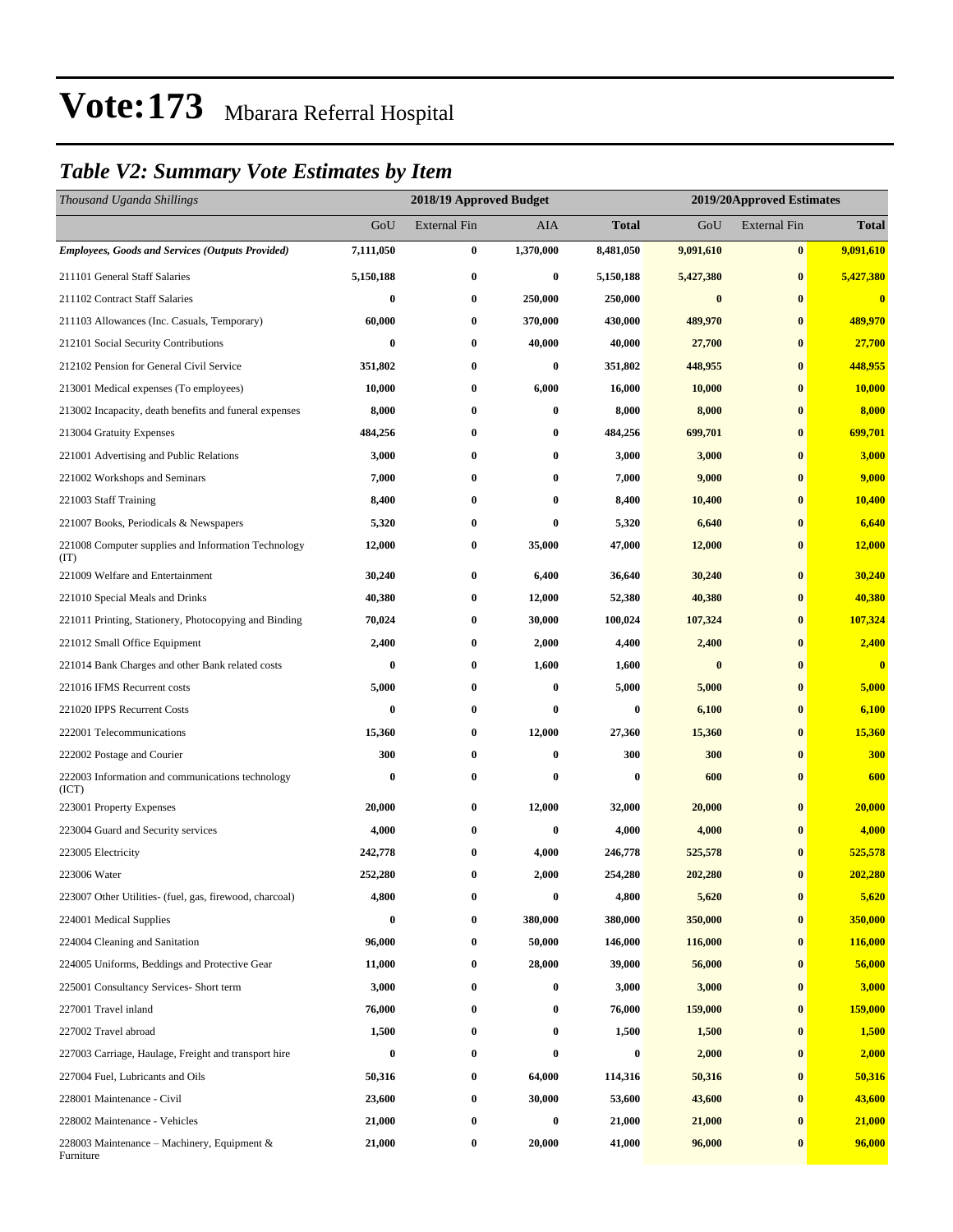### *Table V2: Summary Vote Estimates by Item*

| Thousand Uganda Shillings                                   |           | 2018/19 Approved Budget |           |           |           | 2019/20Approved Estimates |              |  |
|-------------------------------------------------------------|-----------|-------------------------|-----------|-----------|-----------|---------------------------|--------------|--|
|                                                             | GoU       | <b>External Fin</b>     | AIA       | Total     | GoU       | <b>External Fin</b>       | <b>Total</b> |  |
| <b>Employees, Goods and Services (Outputs Provided)</b>     | 7,111,050 | $\bf{0}$                | 1,370,000 | 8,481,050 | 9,091,610 | $\bf{0}$                  | 9,091,610    |  |
| 211101 General Staff Salaries                               | 5,150,188 | $\bf{0}$                | $\bf{0}$  | 5,150,188 | 5,427,380 | $\bf{0}$                  | 5,427,380    |  |
| 211102 Contract Staff Salaries                              | 0         | $\bf{0}$                | 250,000   | 250,000   | $\bf{0}$  | $\bf{0}$                  | $\bf{0}$     |  |
| 211103 Allowances (Inc. Casuals, Temporary)                 | 60,000    | $\bf{0}$                | 370,000   | 430,000   | 489,970   | $\bf{0}$                  | 489,970      |  |
| 212101 Social Security Contributions                        | $\bf{0}$  | $\bf{0}$                | 40,000    | 40,000    | 27,700    | $\bf{0}$                  | 27,700       |  |
| 212102 Pension for General Civil Service                    | 351,802   | $\bf{0}$                | $\bf{0}$  | 351,802   | 448,955   | $\bf{0}$                  | 448,955      |  |
| 213001 Medical expenses (To employees)                      | 10,000    | $\bf{0}$                | 6,000     | 16,000    | 10,000    | $\bf{0}$                  | 10,000       |  |
| 213002 Incapacity, death benefits and funeral expenses      | 8,000     | $\bf{0}$                | $\bf{0}$  | 8,000     | 8,000     | $\bf{0}$                  | 8,000        |  |
| 213004 Gratuity Expenses                                    | 484,256   | $\bf{0}$                | $\bf{0}$  | 484,256   | 699,701   | $\bf{0}$                  | 699,701      |  |
| 221001 Advertising and Public Relations                     | 3,000     | $\bf{0}$                | $\bf{0}$  | 3,000     | 3,000     | $\bf{0}$                  | 3,000        |  |
| 221002 Workshops and Seminars                               | 7,000     | $\bf{0}$                | $\bf{0}$  | 7,000     | 9,000     | $\bf{0}$                  | 9,000        |  |
| 221003 Staff Training                                       | 8,400     | $\bf{0}$                | $\bf{0}$  | 8,400     | 10,400    | $\bf{0}$                  | 10,400       |  |
| 221007 Books, Periodicals & Newspapers                      | 5,320     | $\bf{0}$                | $\bf{0}$  | 5,320     | 6,640     | $\bf{0}$                  | 6,640        |  |
| 221008 Computer supplies and Information Technology<br>(TT) | 12,000    | $\bf{0}$                | 35,000    | 47,000    | 12,000    | $\bf{0}$                  | 12,000       |  |
| 221009 Welfare and Entertainment                            | 30,240    | $\bf{0}$                | 6,400     | 36,640    | 30,240    | $\bf{0}$                  | 30,240       |  |
| 221010 Special Meals and Drinks                             | 40,380    | $\bf{0}$                | 12,000    | 52,380    | 40,380    | $\bf{0}$                  | 40,380       |  |
| 221011 Printing, Stationery, Photocopying and Binding       | 70,024    | $\bf{0}$                | 30,000    | 100,024   | 107,324   | $\bf{0}$                  | 107,324      |  |
| 221012 Small Office Equipment                               | 2,400     | $\bf{0}$                | 2,000     | 4,400     | 2,400     | $\bf{0}$                  | 2,400        |  |
| 221014 Bank Charges and other Bank related costs            | $\bf{0}$  | $\bf{0}$                | 1,600     | 1,600     | $\bf{0}$  | $\bf{0}$                  | $\bf{0}$     |  |
| 221016 IFMS Recurrent costs                                 | 5,000     | $\bf{0}$                | $\bf{0}$  | 5,000     | 5,000     | $\bf{0}$                  | 5,000        |  |
| 221020 IPPS Recurrent Costs                                 | $\bf{0}$  | $\bf{0}$                | $\bf{0}$  | $\bf{0}$  | 6,100     | $\bf{0}$                  | 6,100        |  |
| 222001 Telecommunications                                   | 15,360    | $\bf{0}$                | 12,000    | 27,360    | 15,360    | $\bf{0}$                  | 15,360       |  |
| 222002 Postage and Courier                                  | 300       | $\bf{0}$                | $\bf{0}$  | 300       | 300       | $\bf{0}$                  | 300          |  |
| 222003 Information and communications technology<br>(ICT)   | 0         | $\bf{0}$                | $\bf{0}$  | $\bf{0}$  | 600       | $\bf{0}$                  | 600          |  |
| 223001 Property Expenses                                    | 20,000    | $\bf{0}$                | 12,000    | 32,000    | 20,000    | $\bf{0}$                  | 20,000       |  |
| 223004 Guard and Security services                          | 4,000     | $\bf{0}$                | $\bf{0}$  | 4,000     | 4,000     | $\bf{0}$                  | 4,000        |  |
| 223005 Electricity                                          | 242,778   | $\bf{0}$                | 4,000     | 246,778   | 525,578   | $\bf{0}$                  | 525,578      |  |
| 223006 Water                                                | 252,280   | $\bf{0}$                | 2,000     | 254,280   | 202,280   | $\bf{0}$                  | 202,280      |  |
| 223007 Other Utilities- (fuel, gas, firewood, charcoal)     | 4,800     | $\bf{0}$                | $\bf{0}$  | 4,800     | 5,620     | $\bf{0}$                  | 5,620        |  |
| 224001 Medical Supplies                                     | 0         | $\boldsymbol{0}$        | 380,000   | 380,000   | 350,000   | $\bf{0}$                  | 350,000      |  |
| 224004 Cleaning and Sanitation                              | 96,000    | $\bf{0}$                | 50,000    | 146,000   | 116,000   | $\bf{0}$                  | 116,000      |  |
| 224005 Uniforms, Beddings and Protective Gear               | 11,000    | $\bf{0}$                | 28,000    | 39,000    | 56,000    | $\bf{0}$                  | 56,000       |  |
| 225001 Consultancy Services- Short term                     | 3,000     | $\bf{0}$                | $\bf{0}$  | 3,000     | 3,000     | $\bf{0}$                  | 3,000        |  |
| 227001 Travel inland                                        | 76,000    | $\bf{0}$                | $\bf{0}$  | 76,000    | 159,000   | $\bf{0}$                  | 159,000      |  |
| 227002 Travel abroad                                        | 1,500     | 0                       | $\bf{0}$  | 1,500     | 1,500     | $\bf{0}$                  | 1,500        |  |
| 227003 Carriage, Haulage, Freight and transport hire        | $\bf{0}$  | $\bf{0}$                | $\bf{0}$  | $\bf{0}$  | 2,000     | $\bf{0}$                  | 2,000        |  |
| 227004 Fuel, Lubricants and Oils                            | 50,316    | $\bf{0}$                | 64,000    | 114,316   | 50,316    | $\bf{0}$                  | 50,316       |  |
| 228001 Maintenance - Civil                                  | 23,600    | $\boldsymbol{0}$        | 30,000    | 53,600    | 43,600    | $\bf{0}$                  | 43,600       |  |
| 228002 Maintenance - Vehicles                               | 21,000    | $\boldsymbol{0}$        | $\bf{0}$  | 21,000    | 21,000    | $\bf{0}$                  | 21,000       |  |
| 228003 Maintenance – Machinery, Equipment $\&$<br>Furniture | 21,000    | $\bf{0}$                | 20,000    | 41,000    | 96,000    | $\bf{0}$                  | 96,000       |  |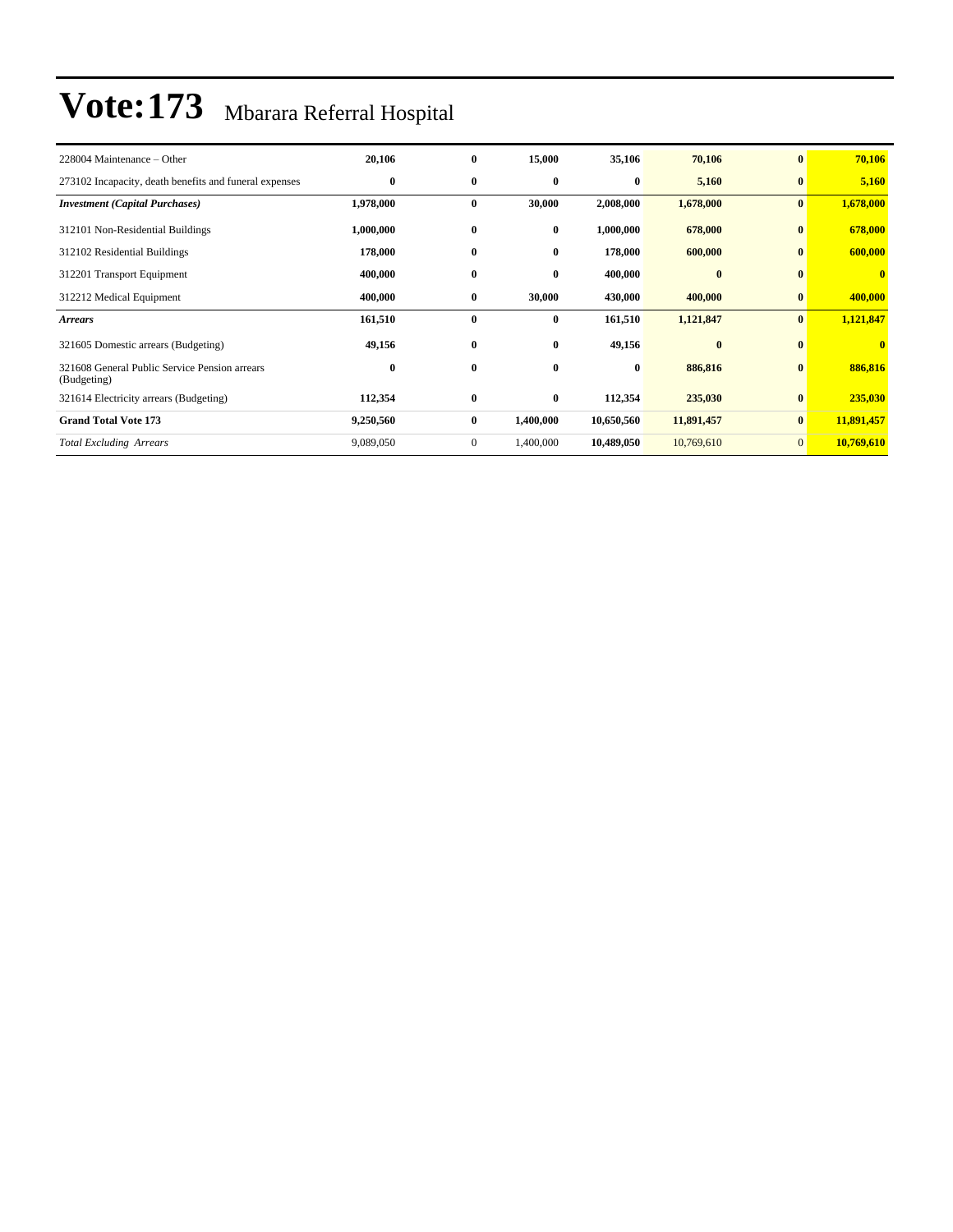| 228004 Maintenance – Other                                   | 20,106    | $\bf{0}$     | 15,000    | 35,106     | 70,106     | $\bf{0}$     | 70,106       |
|--------------------------------------------------------------|-----------|--------------|-----------|------------|------------|--------------|--------------|
| 273102 Incapacity, death benefits and funeral expenses       | $\bf{0}$  | $\bf{0}$     | $\bf{0}$  | $\bf{0}$   | 5,160      | $\bf{0}$     | 5,160        |
| <b>Investment</b> (Capital Purchases)                        | 1,978,000 | $\bf{0}$     | 30,000    | 2,008,000  | 1,678,000  | $\bf{0}$     | 1,678,000    |
| 312101 Non-Residential Buildings                             | 1,000,000 | $\bf{0}$     | 0         | 1,000,000  | 678,000    | $\bf{0}$     | 678,000      |
| 312102 Residential Buildings                                 | 178,000   | $\bf{0}$     | $\bf{0}$  | 178,000    | 600,000    | $\mathbf{0}$ | 600,000      |
| 312201 Transport Equipment                                   | 400,000   | $\bf{0}$     | $\bf{0}$  | 400,000    | $\bf{0}$   | $\mathbf{0}$ | $\mathbf{0}$ |
| 312212 Medical Equipment                                     | 400,000   | $\bf{0}$     | 30,000    | 430,000    | 400,000    | $\bf{0}$     | 400,000      |
| <b>Arrears</b>                                               | 161,510   | $\bf{0}$     | $\bf{0}$  | 161,510    | 1,121,847  | $\bf{0}$     | 1,121,847    |
| 321605 Domestic arrears (Budgeting)                          | 49,156    | $\bf{0}$     | 0         | 49,156     | $\bf{0}$   | $\mathbf{0}$ | $\bf{0}$     |
| 321608 General Public Service Pension arrears<br>(Budgeting) | $\bf{0}$  | $\bf{0}$     | $\bf{0}$  | $\bf{0}$   | 886,816    | $\bf{0}$     | 886,816      |
| 321614 Electricity arrears (Budgeting)                       | 112,354   | $\bf{0}$     | $\bf{0}$  | 112,354    | 235,030    | $\bf{0}$     | 235,030      |
| <b>Grand Total Vote 173</b>                                  | 9,250,560 | $\bf{0}$     | 1,400,000 | 10,650,560 | 11,891,457 | $\bf{0}$     | 11,891,457   |
| <b>Total Excluding Arrears</b>                               | 9,089,050 | $\mathbf{0}$ | 1,400,000 | 10,489,050 | 10,769,610 | $\Omega$     | 10,769,610   |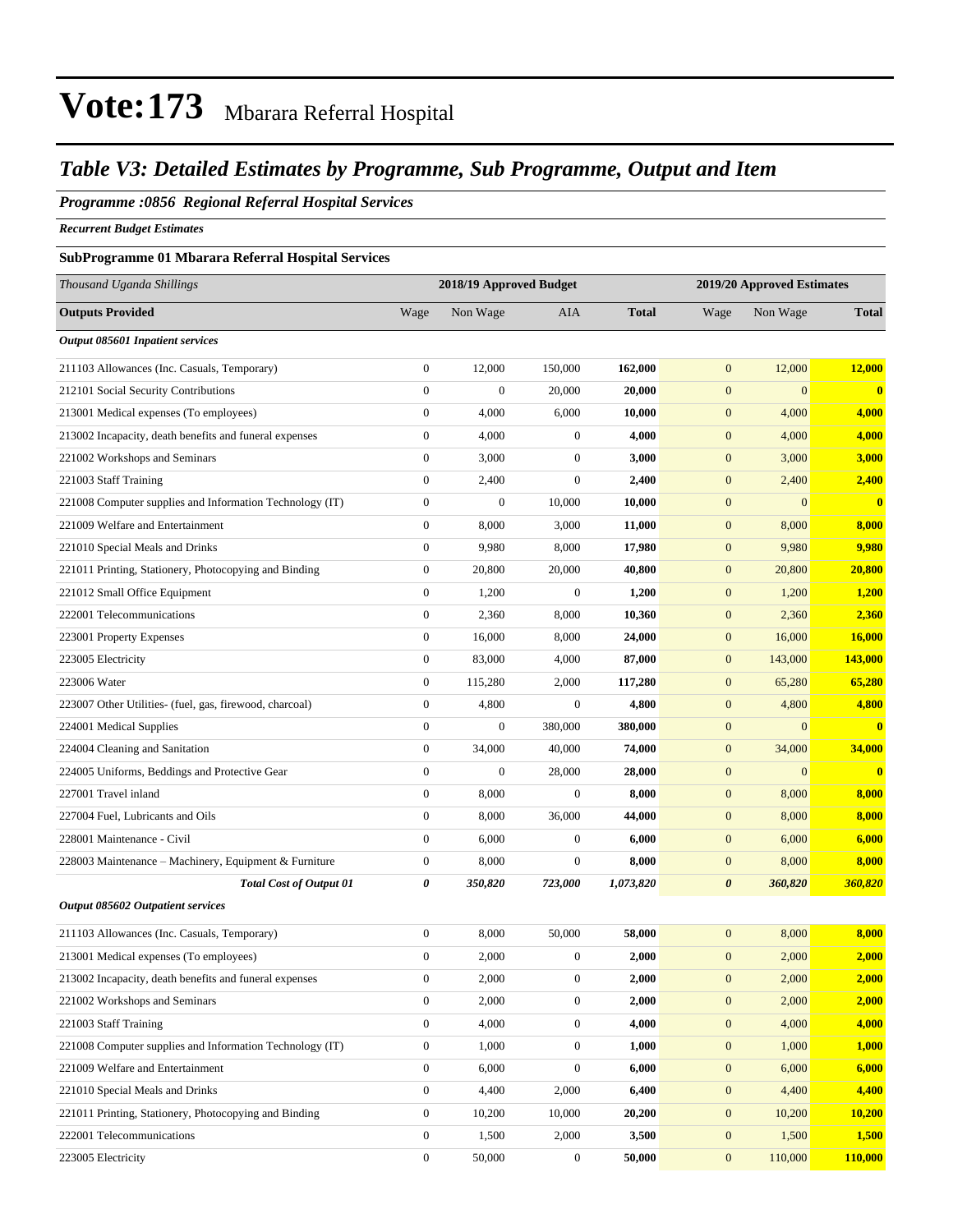#### *Table V3: Detailed Estimates by Programme, Sub Programme, Output and Item*

#### *Programme :0856 Regional Referral Hospital Services*

*Recurrent Budget Estimates*

#### **SubProgramme 01 Mbarara Referral Hospital Services**

| Thousand Uganda Shillings                                |                  | 2018/19 Approved Budget |                  | 2019/20 Approved Estimates |                  |                  |                |
|----------------------------------------------------------|------------------|-------------------------|------------------|----------------------------|------------------|------------------|----------------|
| <b>Outputs Provided</b>                                  | Wage             | Non Wage                | AIA              | <b>Total</b>               | Wage             | Non Wage         | <b>Total</b>   |
| Output 085601 Inpatient services                         |                  |                         |                  |                            |                  |                  |                |
| 211103 Allowances (Inc. Casuals, Temporary)              | $\boldsymbol{0}$ | 12,000                  | 150,000          | 162,000                    | $\mathbf{0}$     | 12,000           | 12,000         |
| 212101 Social Security Contributions                     | $\boldsymbol{0}$ | $\boldsymbol{0}$        | 20,000           | 20,000                     | $\boldsymbol{0}$ | $\mathbf{0}$     | $\bf{0}$       |
| 213001 Medical expenses (To employees)                   | $\boldsymbol{0}$ | 4,000                   | 6,000            | 10,000                     | $\mathbf{0}$     | 4,000            | 4,000          |
| 213002 Incapacity, death benefits and funeral expenses   | $\boldsymbol{0}$ | 4,000                   | $\mathbf{0}$     | 4,000                      | $\mathbf{0}$     | 4,000            | 4,000          |
| 221002 Workshops and Seminars                            | $\boldsymbol{0}$ | 3,000                   | $\boldsymbol{0}$ | 3,000                      | $\mathbf{0}$     | 3,000            | 3,000          |
| 221003 Staff Training                                    | $\boldsymbol{0}$ | 2,400                   | $\boldsymbol{0}$ | 2,400                      | $\mathbf{0}$     | 2,400            | 2,400          |
| 221008 Computer supplies and Information Technology (IT) | $\boldsymbol{0}$ | $\boldsymbol{0}$        | 10,000           | 10,000                     | $\boldsymbol{0}$ | $\mathbf{0}$     | $\bf{0}$       |
| 221009 Welfare and Entertainment                         | $\boldsymbol{0}$ | 8,000                   | 3,000            | 11,000                     | $\mathbf{0}$     | 8,000            | 8,000          |
| 221010 Special Meals and Drinks                          | $\boldsymbol{0}$ | 9,980                   | 8,000            | 17,980                     | $\boldsymbol{0}$ | 9,980            | 9,980          |
| 221011 Printing, Stationery, Photocopying and Binding    | $\boldsymbol{0}$ | 20,800                  | 20,000           | 40,800                     | $\mathbf{0}$     | 20,800           | 20,800         |
| 221012 Small Office Equipment                            | $\boldsymbol{0}$ | 1,200                   | $\boldsymbol{0}$ | 1,200                      | $\mathbf{0}$     | 1,200            | 1,200          |
| 222001 Telecommunications                                | $\boldsymbol{0}$ | 2,360                   | 8,000            | 10,360                     | $\mathbf{0}$     | 2,360            | 2,360          |
| 223001 Property Expenses                                 | $\boldsymbol{0}$ | 16,000                  | 8,000            | 24,000                     | $\mathbf{0}$     | 16,000           | 16,000         |
| 223005 Electricity                                       | $\boldsymbol{0}$ | 83,000                  | 4,000            | 87,000                     | $\boldsymbol{0}$ | 143,000          | <b>143,000</b> |
| 223006 Water                                             | $\boldsymbol{0}$ | 115,280                 | 2,000            | 117,280                    | $\boldsymbol{0}$ | 65,280           | 65,280         |
| 223007 Other Utilities- (fuel, gas, firewood, charcoal)  | $\boldsymbol{0}$ | 4,800                   | $\boldsymbol{0}$ | 4,800                      | $\mathbf{0}$     | 4,800            | 4,800          |
| 224001 Medical Supplies                                  | $\boldsymbol{0}$ | $\boldsymbol{0}$        | 380,000          | 380,000                    | $\boldsymbol{0}$ | $\mathbf{0}$     | $\bf{0}$       |
| 224004 Cleaning and Sanitation                           | $\boldsymbol{0}$ | 34,000                  | 40,000           | 74,000                     | $\mathbf{0}$     | 34,000           | 34,000         |
| 224005 Uniforms, Beddings and Protective Gear            | $\boldsymbol{0}$ | $\boldsymbol{0}$        | 28,000           | 28,000                     | $\mathbf{0}$     | $\boldsymbol{0}$ | $\bf{0}$       |
| 227001 Travel inland                                     | $\boldsymbol{0}$ | 8,000                   | $\boldsymbol{0}$ | 8,000                      | $\mathbf{0}$     | 8,000            | 8,000          |
| 227004 Fuel, Lubricants and Oils                         | $\boldsymbol{0}$ | 8,000                   | 36,000           | 44,000                     | $\mathbf{0}$     | 8,000            | 8,000          |
| 228001 Maintenance - Civil                               | $\boldsymbol{0}$ | 6,000                   | $\mathbf{0}$     | 6,000                      | $\mathbf{0}$     | 6,000            | 6,000          |
| 228003 Maintenance - Machinery, Equipment & Furniture    | $\boldsymbol{0}$ | 8,000                   | $\boldsymbol{0}$ | 8,000                      | $\boldsymbol{0}$ | 8,000            | 8,000          |
| <b>Total Cost of Output 01</b>                           | 0                | 350,820                 | 723,000          | 1,073,820                  | 0                | 360,820          | 360,820        |
| Output 085602 Outpatient services                        |                  |                         |                  |                            |                  |                  |                |
| 211103 Allowances (Inc. Casuals, Temporary)              | $\boldsymbol{0}$ | 8,000                   | 50,000           | 58,000                     | $\boldsymbol{0}$ | 8,000            | 8,000          |
| 213001 Medical expenses (To employees)                   | $\boldsymbol{0}$ | 2,000                   | $\boldsymbol{0}$ | 2,000                      | $\boldsymbol{0}$ | 2,000            | 2,000          |
| 213002 Incapacity, death benefits and funeral expenses   | $\boldsymbol{0}$ | 2,000                   | $\boldsymbol{0}$ | 2,000                      | $\boldsymbol{0}$ | 2,000            | 2,000          |
| 221002 Workshops and Seminars                            | $\boldsymbol{0}$ | 2,000                   | $\boldsymbol{0}$ | 2,000                      | $\boldsymbol{0}$ | 2,000            | 2,000          |
| 221003 Staff Training                                    | $\boldsymbol{0}$ | 4,000                   | $\boldsymbol{0}$ | 4,000                      | $\boldsymbol{0}$ | 4,000            | 4,000          |
| 221008 Computer supplies and Information Technology (IT) | $\boldsymbol{0}$ | 1,000                   | $\boldsymbol{0}$ | 1,000                      | $\mathbf{0}$     | 1,000            | 1,000          |
| 221009 Welfare and Entertainment                         | $\boldsymbol{0}$ | 6,000                   | $\mathbf{0}$     | 6,000                      | $\mathbf{0}$     | 6,000            | 6,000          |
| 221010 Special Meals and Drinks                          | $\boldsymbol{0}$ | 4,400                   | 2,000            | 6,400                      | $\boldsymbol{0}$ | 4,400            | 4,400          |
| 221011 Printing, Stationery, Photocopying and Binding    | $\boldsymbol{0}$ | 10,200                  | 10,000           | 20,200                     | $\mathbf{0}$     | 10,200           | 10,200         |
| 222001 Telecommunications                                | $\boldsymbol{0}$ | 1,500                   | 2,000            | 3,500                      | $\mathbf{0}$     | 1,500            | 1,500          |
| 223005 Electricity                                       | $\boldsymbol{0}$ | 50,000                  | $\boldsymbol{0}$ | 50,000                     | $\boldsymbol{0}$ | 110,000          | 110,000        |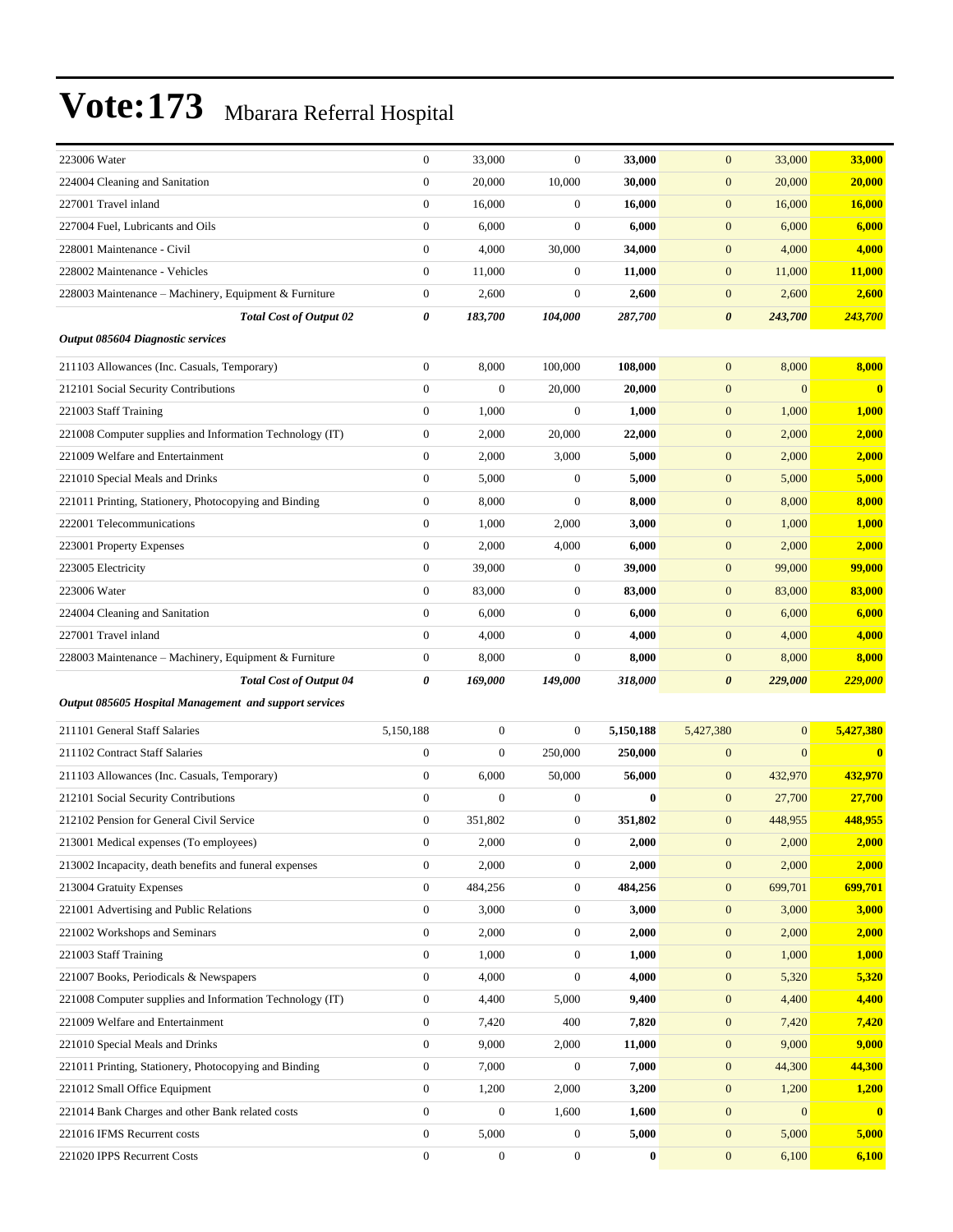| 223006 Water                                             | $\boldsymbol{0}$ | 33,000           | $\boldsymbol{0}$ | 33,000    | $\boldsymbol{0}$      | 33,000       | 33,000       |
|----------------------------------------------------------|------------------|------------------|------------------|-----------|-----------------------|--------------|--------------|
| 224004 Cleaning and Sanitation                           | $\boldsymbol{0}$ | 20,000           | 10,000           | 30,000    | $\mathbf{0}$          | 20,000       | 20,000       |
| 227001 Travel inland                                     | $\mathbf{0}$     | 16,000           | $\boldsymbol{0}$ | 16,000    | $\boldsymbol{0}$      | 16,000       | 16,000       |
| 227004 Fuel, Lubricants and Oils                         | $\mathbf{0}$     | 6,000            | $\boldsymbol{0}$ | 6,000     | $\mathbf{0}$          | 6,000        | 6,000        |
| 228001 Maintenance - Civil                               | $\boldsymbol{0}$ | 4,000            | 30,000           | 34,000    | $\mathbf{0}$          | 4,000        | 4,000        |
| 228002 Maintenance - Vehicles                            | $\boldsymbol{0}$ | 11,000           | $\boldsymbol{0}$ | 11,000    | $\boldsymbol{0}$      | 11,000       | 11,000       |
| 228003 Maintenance - Machinery, Equipment & Furniture    | $\mathbf{0}$     | 2,600            | $\boldsymbol{0}$ | 2,600     | $\mathbf{0}$          | 2,600        | 2,600        |
| <b>Total Cost of Output 02</b>                           | 0                | 183,700          | 104,000          | 287,700   | $\boldsymbol{\theta}$ | 243,700      | 243,700      |
| Output 085604 Diagnostic services                        |                  |                  |                  |           |                       |              |              |
| 211103 Allowances (Inc. Casuals, Temporary)              | $\boldsymbol{0}$ | 8,000            | 100,000          | 108,000   | $\mathbf{0}$          | 8,000        | 8,000        |
| 212101 Social Security Contributions                     | $\boldsymbol{0}$ | $\mathbf{0}$     | 20,000           | 20,000    | $\mathbf{0}$          | $\mathbf{0}$ | $\bf{0}$     |
| 221003 Staff Training                                    | $\mathbf{0}$     | 1,000            | $\boldsymbol{0}$ | 1,000     | $\mathbf{0}$          | 1,000        | 1,000        |
| 221008 Computer supplies and Information Technology (IT) | $\boldsymbol{0}$ | 2,000            | 20,000           | 22,000    | $\boldsymbol{0}$      | 2,000        | 2,000        |
| 221009 Welfare and Entertainment                         | $\boldsymbol{0}$ | 2,000            | 3,000            | 5,000     | $\boldsymbol{0}$      | 2,000        | 2,000        |
| 221010 Special Meals and Drinks                          | $\mathbf{0}$     | 5,000            | $\boldsymbol{0}$ | 5,000     | $\boldsymbol{0}$      | 5,000        | 5,000        |
| 221011 Printing, Stationery, Photocopying and Binding    | $\boldsymbol{0}$ | 8,000            | $\boldsymbol{0}$ | 8,000     | $\boldsymbol{0}$      | 8,000        | 8,000        |
| 222001 Telecommunications                                | $\boldsymbol{0}$ | 1,000            | 2,000            | 3,000     | $\boldsymbol{0}$      | 1,000        | 1,000        |
| 223001 Property Expenses                                 | $\boldsymbol{0}$ | 2,000            | 4,000            | 6,000     | $\boldsymbol{0}$      | 2,000        | 2,000        |
| 223005 Electricity                                       | $\boldsymbol{0}$ | 39,000           | $\boldsymbol{0}$ | 39,000    | $\boldsymbol{0}$      | 99,000       | 99,000       |
| 223006 Water                                             | $\mathbf{0}$     | 83,000           | $\boldsymbol{0}$ | 83,000    | $\boldsymbol{0}$      | 83,000       | 83,000       |
| 224004 Cleaning and Sanitation                           | $\boldsymbol{0}$ | 6,000            | $\boldsymbol{0}$ | 6,000     | $\boldsymbol{0}$      | 6,000        | 6,000        |
| 227001 Travel inland                                     | $\mathbf{0}$     | 4,000            | $\boldsymbol{0}$ | 4,000     | $\boldsymbol{0}$      | 4,000        | 4,000        |
|                                                          |                  |                  |                  |           |                       |              |              |
| 228003 Maintenance - Machinery, Equipment & Furniture    | $\boldsymbol{0}$ | 8,000            | $\boldsymbol{0}$ | 8,000     | $\mathbf{0}$          | 8,000        | 8,000        |
| <b>Total Cost of Output 04</b>                           | 0                | 169,000          | 149,000          | 318,000   | $\boldsymbol{\theta}$ | 229,000      | 229,000      |
| Output 085605 Hospital Management and support services   |                  |                  |                  |           |                       |              |              |
| 211101 General Staff Salaries                            | 5,150,188        | $\boldsymbol{0}$ | $\boldsymbol{0}$ | 5,150,188 | 5,427,380             | $\mathbf{0}$ | 5,427,380    |
| 211102 Contract Staff Salaries                           | $\boldsymbol{0}$ | $\boldsymbol{0}$ | 250,000          | 250,000   | $\boldsymbol{0}$      | $\mathbf{0}$ | $\bf{0}$     |
| 211103 Allowances (Inc. Casuals, Temporary)              | $\boldsymbol{0}$ | 6,000            | 50,000           | 56,000    | $\boldsymbol{0}$      | 432,970      | 432,970      |
| 212101 Social Security Contributions                     | $\boldsymbol{0}$ | $\mathbf{0}$     | $\boldsymbol{0}$ | $\bf{0}$  | $\boldsymbol{0}$      | 27,700       | 27,700       |
| 212102 Pension for General Civil Service                 | $\boldsymbol{0}$ | 351,802          | $\boldsymbol{0}$ | 351,802   | $\mathbf{0}$          | 448,955      | 448,955      |
| 213001 Medical expenses (To employees)                   | $\boldsymbol{0}$ | 2,000            | $\boldsymbol{0}$ | 2,000     | $\mathbf{0}$          | 2,000        | 2,000        |
| 213002 Incapacity, death benefits and funeral expenses   | $\boldsymbol{0}$ | 2,000            | $\boldsymbol{0}$ | 2,000     | $\boldsymbol{0}$      | 2,000        | 2,000        |
| 213004 Gratuity Expenses                                 | $\boldsymbol{0}$ | 484,256          | $\boldsymbol{0}$ | 484,256   | $\boldsymbol{0}$      | 699,701      | 699,701      |
| 221001 Advertising and Public Relations                  | $\boldsymbol{0}$ | 3,000            | $\boldsymbol{0}$ | 3,000     | $\boldsymbol{0}$      | 3,000        | 3,000        |
| 221002 Workshops and Seminars                            | $\boldsymbol{0}$ | 2,000            | $\boldsymbol{0}$ | 2,000     | $\boldsymbol{0}$      | 2,000        | 2,000        |
| 221003 Staff Training                                    | $\boldsymbol{0}$ | 1,000            | $\boldsymbol{0}$ | 1,000     | $\mathbf{0}$          | 1,000        | <b>1,000</b> |
| 221007 Books, Periodicals & Newspapers                   | $\boldsymbol{0}$ | 4,000            | $\boldsymbol{0}$ | 4,000     | $\mathbf{0}$          | 5,320        | 5,320        |
| 221008 Computer supplies and Information Technology (IT) | $\boldsymbol{0}$ | 4,400            | 5,000            | 9,400     | $\mathbf{0}$          | 4,400        | 4,400        |
| 221009 Welfare and Entertainment                         | $\boldsymbol{0}$ | 7,420            | 400              | 7,820     | $\boldsymbol{0}$      | 7,420        | 7,420        |
| 221010 Special Meals and Drinks                          | $\boldsymbol{0}$ | 9,000            | 2,000            | 11,000    | $\boldsymbol{0}$      | 9,000        | 9,000        |
| 221011 Printing, Stationery, Photocopying and Binding    | $\boldsymbol{0}$ | 7,000            | $\boldsymbol{0}$ | 7,000     | $\boldsymbol{0}$      | 44,300       | 44,300       |
| 221012 Small Office Equipment                            | $\boldsymbol{0}$ | 1,200            | 2,000            | 3,200     | $\boldsymbol{0}$      | 1,200        | 1,200        |
| 221014 Bank Charges and other Bank related costs         | $\boldsymbol{0}$ | $\boldsymbol{0}$ | 1,600            | 1,600     | $\mathbf{0}$          | $\mathbf{0}$ | $\bf{0}$     |
| 221016 IFMS Recurrent costs                              | $\boldsymbol{0}$ | 5,000            | $\boldsymbol{0}$ | 5,000     | $\boldsymbol{0}$      | 5,000        | 5,000        |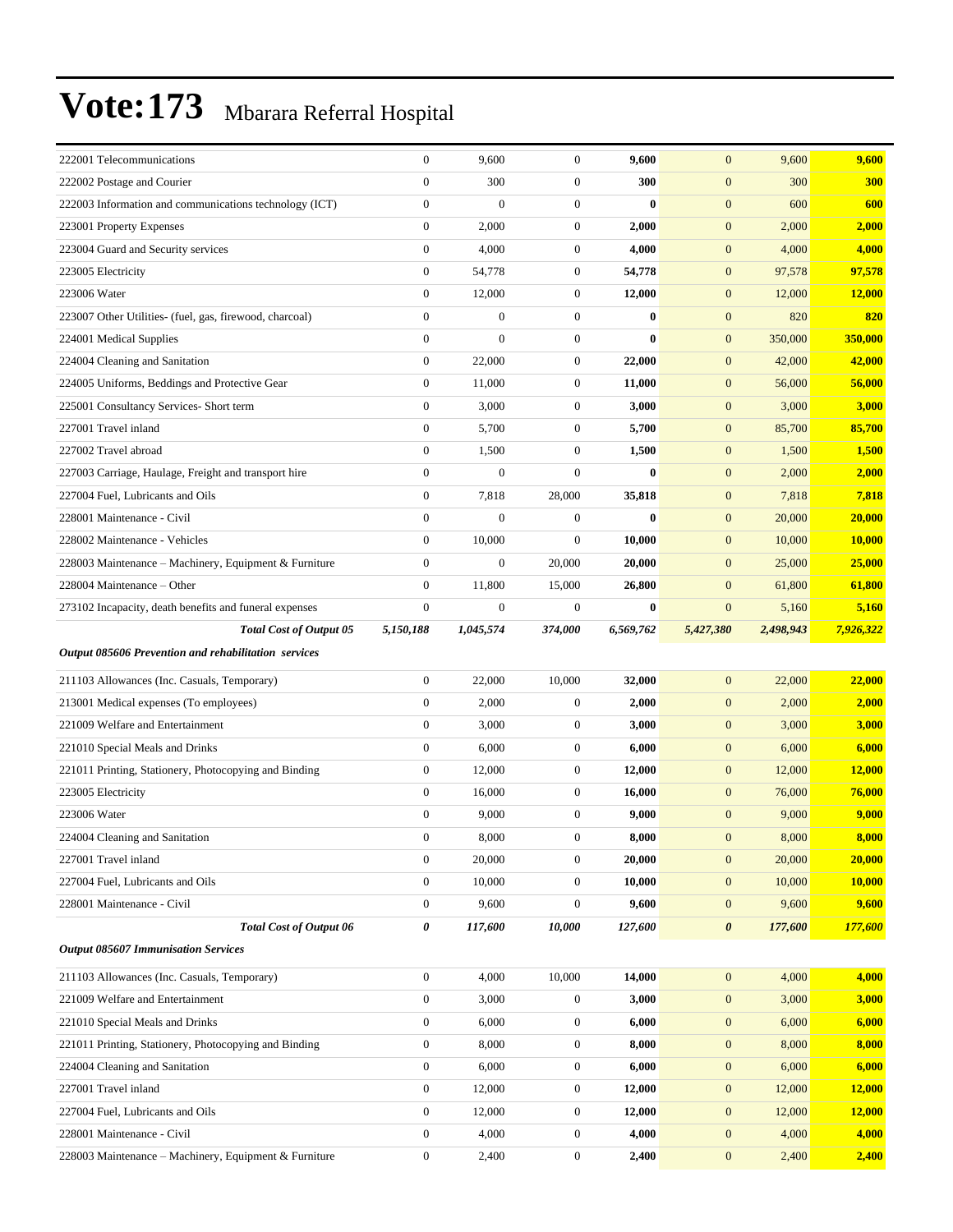| 222001 Telecommunications                               | $\boldsymbol{0}$ | 9,600            | $\boldsymbol{0}$ | 9,600     | $\mathbf{0}$          | 9,600     | 9,600         |
|---------------------------------------------------------|------------------|------------------|------------------|-----------|-----------------------|-----------|---------------|
| 222002 Postage and Courier                              | $\boldsymbol{0}$ | 300              | $\boldsymbol{0}$ | 300       | $\boldsymbol{0}$      | 300       | 300           |
| 222003 Information and communications technology (ICT)  | $\boldsymbol{0}$ | $\boldsymbol{0}$ | $\boldsymbol{0}$ | $\bf{0}$  | $\boldsymbol{0}$      | 600       | 600           |
| 223001 Property Expenses                                | $\boldsymbol{0}$ | 2,000            | $\boldsymbol{0}$ | 2,000     | $\mathbf{0}$          | 2,000     | 2,000         |
| 223004 Guard and Security services                      | $\boldsymbol{0}$ | 4,000            | $\boldsymbol{0}$ | 4,000     | $\mathbf{0}$          | 4,000     | 4,000         |
| 223005 Electricity                                      | $\boldsymbol{0}$ | 54,778           | $\boldsymbol{0}$ | 54,778    | $\mathbf{0}$          | 97,578    | 97,578        |
| 223006 Water                                            | $\boldsymbol{0}$ | 12,000           | $\boldsymbol{0}$ | 12,000    | $\mathbf{0}$          | 12,000    | 12,000        |
| 223007 Other Utilities- (fuel, gas, firewood, charcoal) | $\boldsymbol{0}$ | $\boldsymbol{0}$ | $\boldsymbol{0}$ | $\bf{0}$  | $\boldsymbol{0}$      | 820       | 820           |
| 224001 Medical Supplies                                 | $\overline{0}$   | $\overline{0}$   | $\boldsymbol{0}$ | $\bf{0}$  | $\mathbf{0}$          | 350,000   | 350,000       |
| 224004 Cleaning and Sanitation                          | $\boldsymbol{0}$ | 22,000           | $\boldsymbol{0}$ | 22,000    | $\mathbf{0}$          | 42,000    | 42,000        |
| 224005 Uniforms, Beddings and Protective Gear           | $\boldsymbol{0}$ | 11,000           | $\boldsymbol{0}$ | 11,000    | $\mathbf{0}$          | 56,000    | 56,000        |
| 225001 Consultancy Services- Short term                 | $\boldsymbol{0}$ | 3,000            | $\boldsymbol{0}$ | 3,000     | $\mathbf{0}$          | 3,000     | 3,000         |
| 227001 Travel inland                                    | $\boldsymbol{0}$ | 5,700            | $\boldsymbol{0}$ | 5,700     | $\boldsymbol{0}$      | 85,700    | 85,700        |
| 227002 Travel abroad                                    | $\boldsymbol{0}$ | 1,500            | $\boldsymbol{0}$ | 1,500     | $\mathbf{0}$          | 1,500     | 1,500         |
| 227003 Carriage, Haulage, Freight and transport hire    | $\boldsymbol{0}$ | $\boldsymbol{0}$ | $\mathbf{0}$     | $\bf{0}$  | $\boldsymbol{0}$      | 2,000     | 2,000         |
| 227004 Fuel, Lubricants and Oils                        | $\boldsymbol{0}$ | 7,818            | 28,000           | 35,818    | $\mathbf{0}$          | 7,818     | 7,818         |
| 228001 Maintenance - Civil                              | $\boldsymbol{0}$ | $\boldsymbol{0}$ | $\boldsymbol{0}$ | $\bf{0}$  | $\mathbf{0}$          | 20,000    | 20,000        |
| 228002 Maintenance - Vehicles                           | $\boldsymbol{0}$ | 10,000           | $\boldsymbol{0}$ | 10,000    | $\mathbf{0}$          | 10,000    | <b>10,000</b> |
| 228003 Maintenance – Machinery, Equipment & Furniture   | $\overline{0}$   | $\boldsymbol{0}$ | 20,000           | 20,000    | $\mathbf{0}$          | 25,000    | 25,000        |
| 228004 Maintenance – Other                              | $\boldsymbol{0}$ | 11,800           | 15,000           | 26,800    | $\mathbf{0}$          | 61,800    | 61,800        |
| 273102 Incapacity, death benefits and funeral expenses  | $\boldsymbol{0}$ | $\boldsymbol{0}$ | $\boldsymbol{0}$ | $\bf{0}$  | $\mathbf{0}$          | 5,160     | 5,160         |
| Total Cost of Output 05                                 | 5,150,188        | 1,045,574        | 374,000          | 6,569,762 | 5,427,380             | 2,498,943 | 7,926,322     |
|                                                         |                  |                  |                  |           |                       |           |               |
| Output 085606 Prevention and rehabilitation services    |                  |                  |                  |           |                       |           |               |
| 211103 Allowances (Inc. Casuals, Temporary)             | $\boldsymbol{0}$ | 22,000           | 10,000           | 32,000    | $\boldsymbol{0}$      | 22,000    | 22,000        |
| 213001 Medical expenses (To employees)                  | $\boldsymbol{0}$ | 2,000            | $\boldsymbol{0}$ | 2,000     | $\boldsymbol{0}$      | 2,000     | 2,000         |
| 221009 Welfare and Entertainment                        | $\boldsymbol{0}$ | 3,000            | $\boldsymbol{0}$ | 3,000     | $\boldsymbol{0}$      | 3,000     | 3,000         |
| 221010 Special Meals and Drinks                         | $\boldsymbol{0}$ | 6,000            | $\boldsymbol{0}$ | 6,000     | $\mathbf{0}$          | 6,000     | 6,000         |
| 221011 Printing, Stationery, Photocopying and Binding   | $\boldsymbol{0}$ | 12,000           | $\boldsymbol{0}$ | 12,000    | $\boldsymbol{0}$      | 12,000    | 12,000        |
| 223005 Electricity                                      | $\boldsymbol{0}$ | 16,000           | $\mathbf{0}$     | 16,000    | $\mathbf{0}$          | 76,000    | 76,000        |
| 223006 Water                                            | $\boldsymbol{0}$ | 9,000            | $\boldsymbol{0}$ | 9,000     | $\mathbf{0}$          | 9,000     | 9,000         |
| 224004 Cleaning and Sanitation                          | $\overline{0}$   | 8,000            | $\mathbf{0}$     | 8,000     | $\overline{0}$        | 8,000     | 8,000         |
| 227001 Travel inland                                    | $\boldsymbol{0}$ | 20,000           | $\boldsymbol{0}$ | 20,000    | $\boldsymbol{0}$      | 20,000    | 20,000        |
| 227004 Fuel, Lubricants and Oils                        | $\boldsymbol{0}$ | 10,000           | $\boldsymbol{0}$ | 10,000    | $\mathbf{0}$          | 10,000    | <b>10,000</b> |
| 228001 Maintenance - Civil                              | $\boldsymbol{0}$ | 9,600            | $\boldsymbol{0}$ | 9,600     | $\boldsymbol{0}$      | 9,600     | 9,600         |
| <b>Total Cost of Output 06</b>                          | 0                | 117,600          | 10,000           | 127,600   | $\boldsymbol{\theta}$ | 177,600   | 177,600       |
| <b>Output 085607 Immunisation Services</b>              |                  |                  |                  |           |                       |           |               |
| 211103 Allowances (Inc. Casuals, Temporary)             | $\boldsymbol{0}$ | 4,000            | 10,000           | 14,000    | $\mathbf{0}$          | 4,000     | 4,000         |
| 221009 Welfare and Entertainment                        | $\boldsymbol{0}$ | 3,000            | $\boldsymbol{0}$ | 3,000     | $\mathbf{0}$          | 3,000     | 3,000         |
| 221010 Special Meals and Drinks                         | $\boldsymbol{0}$ | 6,000            | $\boldsymbol{0}$ | 6,000     | $\mathbf{0}$          | 6,000     | 6,000         |
| 221011 Printing, Stationery, Photocopying and Binding   | $\boldsymbol{0}$ | 8,000            | $\mathbf{0}$     | 8,000     | $\boldsymbol{0}$      | 8,000     | 8,000         |
| 224004 Cleaning and Sanitation                          | $\boldsymbol{0}$ | 6,000            | $\boldsymbol{0}$ | 6,000     | $\boldsymbol{0}$      | 6,000     | 6,000         |
| 227001 Travel inland                                    | $\boldsymbol{0}$ | 12,000           | $\boldsymbol{0}$ | 12,000    | $\mathbf{0}$          | 12,000    | 12,000        |
| 227004 Fuel, Lubricants and Oils                        | $\boldsymbol{0}$ | 12,000           | $\boldsymbol{0}$ | 12,000    | $\mathbf{0}$          | 12,000    | 12,000        |
| 228001 Maintenance - Civil                              | $\boldsymbol{0}$ | 4,000            | $\boldsymbol{0}$ | 4,000     | $\mathbf{0}$          | 4,000     | 4,000         |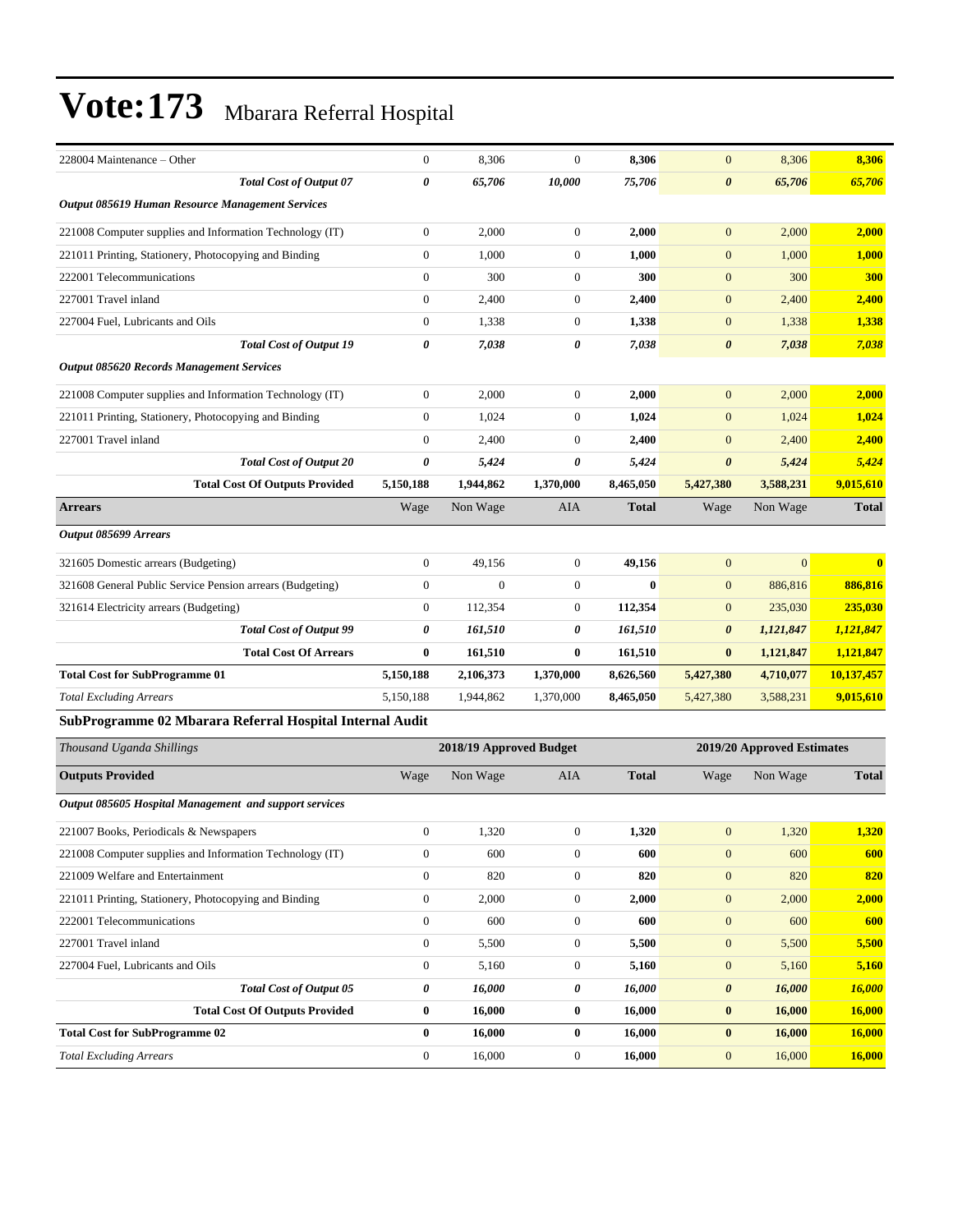| 228004 Maintenance – Other                                | $\mathbf{0}$          | 8,306                   | $\Omega$         | 8,306        | $\mathbf{0}$               | 8,306          | 8,306                   |  |
|-----------------------------------------------------------|-----------------------|-------------------------|------------------|--------------|----------------------------|----------------|-------------------------|--|
| <b>Total Cost of Output 07</b>                            | $\boldsymbol{\theta}$ | 65,706                  | 10,000           | 75,706       | $\boldsymbol{\theta}$      | 65,706         | 65,706                  |  |
| Output 085619 Human Resource Management Services          |                       |                         |                  |              |                            |                |                         |  |
| 221008 Computer supplies and Information Technology (IT)  | $\boldsymbol{0}$      | 2,000                   | $\boldsymbol{0}$ | 2,000        | $\mathbf{0}$               | 2,000          | 2,000                   |  |
| 221011 Printing, Stationery, Photocopying and Binding     | $\mathbf{0}$          | 1,000                   | $\mathbf{0}$     | 1,000        | $\mathbf{0}$               | 1,000          | 1,000                   |  |
| 222001 Telecommunications                                 | $\mathbf{0}$          | 300                     | $\overline{0}$   | 300          | $\mathbf{0}$               | 300            | 300                     |  |
| 227001 Travel inland                                      | $\mathbf{0}$          | 2,400                   | $\overline{0}$   | 2,400        | $\mathbf{0}$               | 2,400          | 2,400                   |  |
| 227004 Fuel, Lubricants and Oils                          | $\boldsymbol{0}$      | 1,338                   | $\boldsymbol{0}$ | 1,338        | $\mathbf{0}$               | 1,338          | 1,338                   |  |
| <b>Total Cost of Output 19</b>                            | $\boldsymbol{\theta}$ | 7,038                   | 0                | 7,038        | $\boldsymbol{\theta}$      | 7,038          | 7,038                   |  |
| <b>Output 085620 Records Management Services</b>          |                       |                         |                  |              |                            |                |                         |  |
| 221008 Computer supplies and Information Technology (IT)  | $\boldsymbol{0}$      | 2,000                   | $\overline{0}$   | 2,000        | $\mathbf{0}$               | 2,000          | 2,000                   |  |
| 221011 Printing, Stationery, Photocopying and Binding     | $\mathbf{0}$          | 1,024                   | $\overline{0}$   | 1,024        | $\mathbf{0}$               | 1,024          | 1,024                   |  |
| 227001 Travel inland                                      | $\mathbf{0}$          | 2,400                   | $\overline{0}$   | 2,400        | $\mathbf{0}$               | 2,400          | 2,400                   |  |
| <b>Total Cost of Output 20</b>                            | $\boldsymbol{\theta}$ | 5,424                   | 0                | 5,424        | $\boldsymbol{\theta}$      | 5,424          | 5,424                   |  |
| <b>Total Cost Of Outputs Provided</b>                     | 5,150,188             | 1,944,862               | 1,370,000        | 8,465,050    | 5,427,380                  | 3,588,231      | 9,015,610               |  |
| <b>Arrears</b>                                            | Wage                  | Non Wage                | AIA              | <b>Total</b> | Wage                       | Non Wage       | <b>Total</b>            |  |
| Output 085699 Arrears                                     |                       |                         |                  |              |                            |                |                         |  |
| 321605 Domestic arrears (Budgeting)                       | $\boldsymbol{0}$      | 49,156                  | $\boldsymbol{0}$ | 49,156       | $\mathbf{0}$               | $\overline{0}$ | $\overline{\mathbf{0}}$ |  |
| 321608 General Public Service Pension arrears (Budgeting) | $\mathbf{0}$          | $\theta$                | $\overline{0}$   | $\bf{0}$     | $\mathbf{0}$               | 886,816        | 886,816                 |  |
| 321614 Electricity arrears (Budgeting)                    | $\mathbf{0}$          | 112,354                 | $\overline{0}$   | 112,354      | $\mathbf{0}$               | 235,030        | 235,030                 |  |
| <b>Total Cost of Output 99</b>                            | 0                     | 161,510                 | 0                | 161,510      | $\boldsymbol{\theta}$      | 1,121,847      | 1,121,847               |  |
| <b>Total Cost Of Arrears</b>                              | $\bf{0}$              | 161,510                 | $\bf{0}$         | 161,510      | $\bf{0}$                   | 1,121,847      | 1,121,847               |  |
| <b>Total Cost for SubProgramme 01</b>                     | 5,150,188             | 2,106,373               | 1,370,000        | 8,626,560    | 5,427,380                  | 4,710,077      | 10,137,457              |  |
| <b>Total Excluding Arrears</b>                            | 5,150,188             | 1,944,862               | 1,370,000        | 8,465,050    | 5,427,380                  | 3,588,231      | 9,015,610               |  |
| SubProgramme 02 Mbarara Referral Hospital Internal Audit  |                       |                         |                  |              |                            |                |                         |  |
| Thousand Uganda Shillings                                 |                       | 2018/19 Approved Budget |                  |              | 2019/20 Approved Estimates |                |                         |  |
| <b>Outputs Provided</b>                                   | Wage                  | Non Wage                | <b>AIA</b>       | <b>Total</b> | Wage                       | Non Wage       | <b>Total</b>            |  |

*Output 085605 Hospital Management and support services*

| ompur 000000 1105pmm munus ement unu support services    |              |        |                |        |                           |        |
|----------------------------------------------------------|--------------|--------|----------------|--------|---------------------------|--------|
| 221007 Books, Periodicals & Newspapers                   | $\mathbf{0}$ | 1,320  | $\mathbf{0}$   | 1,320  | 1,320<br>$\mathbf{0}$     | 1,320  |
| 221008 Computer supplies and Information Technology (IT) | $\theta$     | 600    | $\theta$       | 600    | 600<br>$\mathbf{0}$       | 600    |
| 221009 Welfare and Entertainment                         | $\mathbf{0}$ | 820    | $\mathbf{0}$   | 820    | 820<br>$\mathbf{0}$       | 820    |
| 221011 Printing, Stationery, Photocopying and Binding    | $\mathbf{0}$ | 2,000  | $\theta$       | 2,000  | $\mathbf{0}$<br>2,000     | 2,000  |
| 222001 Telecommunications                                | $\mathbf{0}$ | 600    | $\theta$       | 600    | $\mathbf{0}$<br>600       | 600    |
| 227001 Travel inland                                     | $\theta$     | 5,500  | $\theta$       | 5,500  | $\boldsymbol{0}$<br>5,500 | 5,500  |
| 227004 Fuel, Lubricants and Oils                         | $\mathbf{0}$ | 5,160  | $\overline{0}$ | 5,160  | $\overline{0}$<br>5,160   | 5,160  |
| <b>Total Cost of Output 05</b>                           | 0            | 16,000 | 0              | 16,000 | 16,000<br>0               | 16,000 |
| <b>Total Cost Of Outputs Provided</b>                    | $\bf{0}$     | 16,000 | $\bf{0}$       | 16,000 | 16,000<br>$\bf{0}$        | 16,000 |
| <b>Total Cost for SubProgramme 02</b>                    | $\mathbf{0}$ | 16,000 | $\mathbf{0}$   | 16,000 | 16,000<br>$\bf{0}$        | 16,000 |
| <b>Total Excluding Arrears</b>                           | $\mathbf{0}$ | 16,000 | $\theta$       | 16,000 | $\mathbf{0}$<br>16,000    | 16,000 |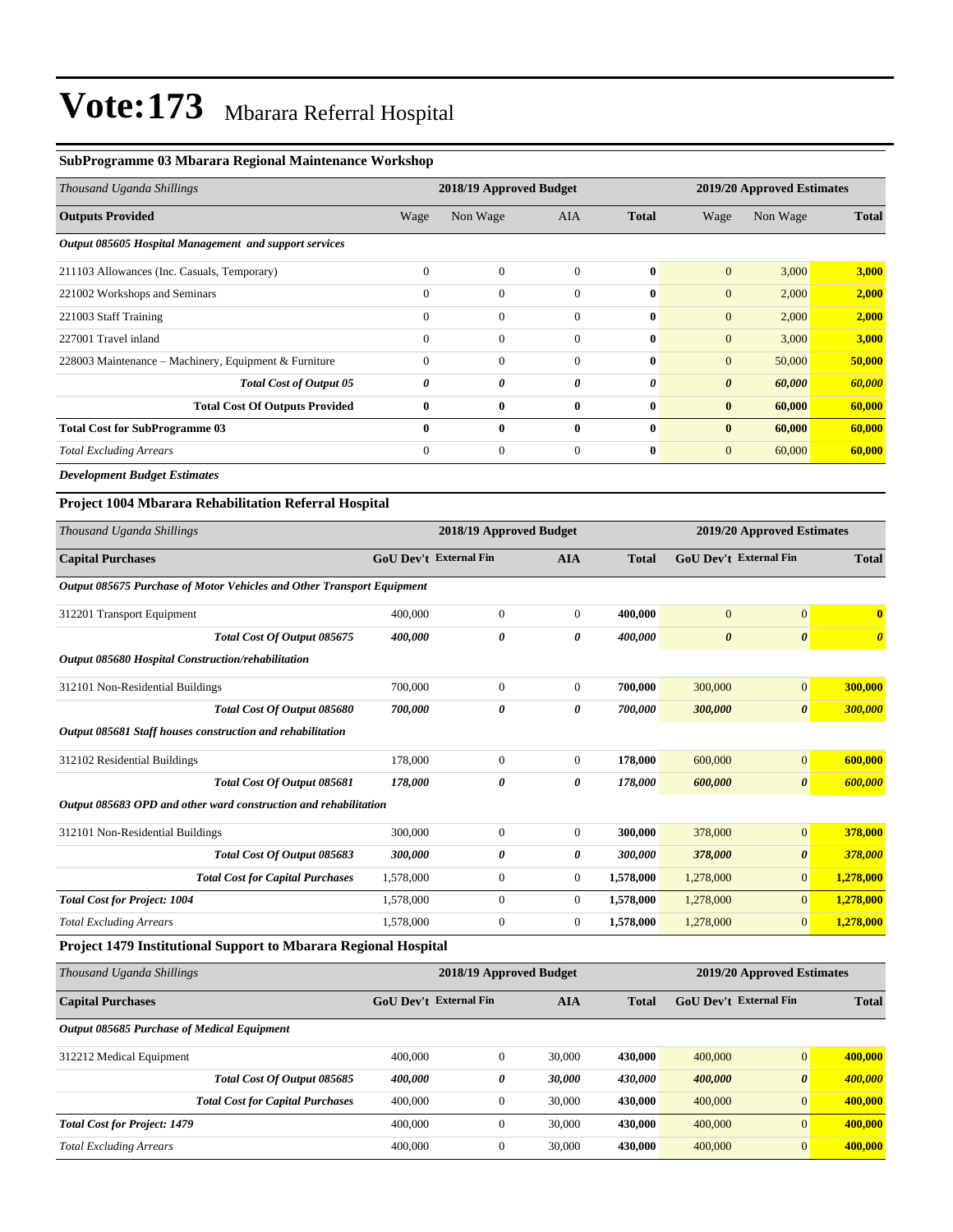#### **SubProgramme 03 Mbarara Regional Maintenance Workshop**

| Thousand Uganda Shillings                              |              | 2018/19 Approved Budget |              |              | 2019/20 Approved Estimates |          |              |  |
|--------------------------------------------------------|--------------|-------------------------|--------------|--------------|----------------------------|----------|--------------|--|
| <b>Outputs Provided</b>                                | Wage         | Non Wage                | <b>AIA</b>   | <b>Total</b> | Wage                       | Non Wage | <b>Total</b> |  |
| Output 085605 Hospital Management and support services |              |                         |              |              |                            |          |              |  |
| 211103 Allowances (Inc. Casuals, Temporary)            | $\mathbf{0}$ | $\mathbf{0}$            | $\theta$     | $\mathbf{0}$ | $\mathbf{0}$               | 3,000    | 3,000        |  |
| 221002 Workshops and Seminars                          | $\mathbf{0}$ | $\boldsymbol{0}$        | $\Omega$     | $\bf{0}$     | $\mathbf{0}$               | 2,000    | 2,000        |  |
| 221003 Staff Training                                  | $\mathbf{0}$ | $\boldsymbol{0}$        | $\Omega$     | $\mathbf{0}$ | $\mathbf{0}$               | 2,000    | 2,000        |  |
| 227001 Travel inland                                   | $\mathbf{0}$ | $\mathbf{0}$            | $\theta$     | $\bf{0}$     | $\mathbf{0}$               | 3,000    | 3,000        |  |
| 228003 Maintenance – Machinery, Equipment & Furniture  | $\mathbf{0}$ | $\mathbf{0}$            | $\theta$     | $\bf{0}$     | $\mathbf{0}$               | 50,000   | 50,000       |  |
| <b>Total Cost of Output 05</b>                         | 0            | 0                       | 0            | 0            | $\boldsymbol{\theta}$      | 60,000   | 60,000       |  |
| <b>Total Cost Of Outputs Provided</b>                  | $\bf{0}$     | $\bf{0}$                | $\bf{0}$     | $\bf{0}$     | $\bf{0}$                   | 60,000   | 60,000       |  |
| <b>Total Cost for SubProgramme 03</b>                  | $\mathbf{0}$ | $\bf{0}$                | $\mathbf{0}$ | $\mathbf{0}$ | $\bf{0}$                   | 60,000   | 60,000       |  |
| <b>Total Excluding Arrears</b>                         | $\mathbf{0}$ | $\mathbf{0}$            | $\theta$     | $\bf{0}$     | $\mathbf{0}$               | 60,000   | 60,000       |  |
| <b>Development Budget Estimates</b>                    |              |                         |              |              |                            |          |              |  |

#### **Project 1004 Mbarara Rehabilitation Referral Hospital**

| Thousand Uganda Shillings                                              |                               | 2018/19 Approved Budget |                |              | 2019/20 Approved Estimates    |                       |                       |  |
|------------------------------------------------------------------------|-------------------------------|-------------------------|----------------|--------------|-------------------------------|-----------------------|-----------------------|--|
| <b>Capital Purchases</b>                                               | <b>GoU Dev't External Fin</b> |                         | <b>AIA</b>     | <b>Total</b> | <b>GoU</b> Dev't External Fin |                       | <b>Total</b>          |  |
| Output 085675 Purchase of Motor Vehicles and Other Transport Equipment |                               |                         |                |              |                               |                       |                       |  |
| 312201 Transport Equipment                                             | 400,000                       | $\mathbf{0}$            | $\mathbf{0}$   | 400,000      | $\overline{0}$                | $\mathbf{0}$          | $\mathbf{0}$          |  |
| Total Cost Of Output 085675                                            | 400,000                       | 0                       | 0              | 400,000      | $\boldsymbol{\theta}$         | $\boldsymbol{\theta}$ | $\boldsymbol{\theta}$ |  |
| Output 085680 Hospital Construction/rehabilitation                     |                               |                         |                |              |                               |                       |                       |  |
| 312101 Non-Residential Buildings                                       | 700,000                       | $\overline{0}$          | $\overline{0}$ | 700,000      | 300,000                       | $\mathbf{0}$          | 300,000               |  |
| Total Cost Of Output 085680                                            | 700,000                       | 0                       | 0              | 700,000      | 300,000                       | $\boldsymbol{\theta}$ | 300,000               |  |
| Output 085681 Staff houses construction and rehabilitation             |                               |                         |                |              |                               |                       |                       |  |
| 312102 Residential Buildings                                           | 178,000                       | $\overline{0}$          | $\overline{0}$ | 178,000      | 600,000                       | $\mathbf{0}$          | 600,000               |  |
| Total Cost Of Output 085681                                            | 178,000                       | 0                       | 0              | 178,000      | 600,000                       | $\boldsymbol{\theta}$ | 600,000               |  |
| Output 085683 OPD and other ward construction and rehabilitation       |                               |                         |                |              |                               |                       |                       |  |
| 312101 Non-Residential Buildings                                       | 300,000                       | $\overline{0}$          | $\mathbf{0}$   | 300,000      | 378,000                       | $\overline{0}$        | 378,000               |  |
| Total Cost Of Output 085683                                            | 300,000                       | 0                       | 0              | 300,000      | 378,000                       | $\boldsymbol{\theta}$ | 378,000               |  |
| <b>Total Cost for Capital Purchases</b>                                | 1,578,000                     | $\mathbf{0}$            | $\overline{0}$ | 1,578,000    | 1,278,000                     | $\mathbf{0}$          | 1,278,000             |  |
| <b>Total Cost for Project: 1004</b>                                    | 1,578,000                     | $\overline{0}$          | $\overline{0}$ | 1,578,000    | 1,278,000                     | $\overline{0}$        | 1,278,000             |  |
| <b>Total Excluding Arrears</b>                                         | 1.578.000                     | $\overline{0}$          | $\mathbf{0}$   | 1,578,000    | 1,278,000                     | $\mathbf{0}$          | 1,278,000             |  |
| Dariant 1470 Leathertonal Cennant to Mhonone, Darianal Hamital.        |                               |                         |                |              |                               |                       |                       |  |

#### **Project 1479 Institutional Support to Mbarara Regional Hospital**

| Thousand Uganda Shillings                          | 2018/19 Approved Budget       |                  |            |              | 2019/20 Approved Estimates    |                       |              |
|----------------------------------------------------|-------------------------------|------------------|------------|--------------|-------------------------------|-----------------------|--------------|
| <b>Capital Purchases</b>                           | <b>GoU</b> Dev't External Fin |                  | <b>AIA</b> | <b>Total</b> | <b>GoU</b> Dev't External Fin |                       | <b>Total</b> |
| <b>Output 085685 Purchase of Medical Equipment</b> |                               |                  |            |              |                               |                       |              |
| 312212 Medical Equipment                           | 400,000                       | $\boldsymbol{0}$ | 30,000     | 430,000      | 400,000                       | $\overline{0}$        | 400,000      |
| Total Cost Of Output 085685                        | 400,000                       | 0                | 30,000     | 430,000      | 400,000                       | $\boldsymbol{\theta}$ | 400,000      |
| <b>Total Cost for Capital Purchases</b>            | 400,000                       | $\boldsymbol{0}$ | 30,000     | 430,000      | 400,000                       | $\overline{0}$        | 400,000      |
| <b>Total Cost for Project: 1479</b>                | 400,000                       | $\Omega$         | 30,000     | 430,000      | 400,000                       | $\Omega$              | 400,000      |
| <b>Total Excluding Arrears</b>                     | 400,000                       | $\boldsymbol{0}$ | 30,000     | 430,000      | 400,000                       | $\overline{0}$        | 400,000      |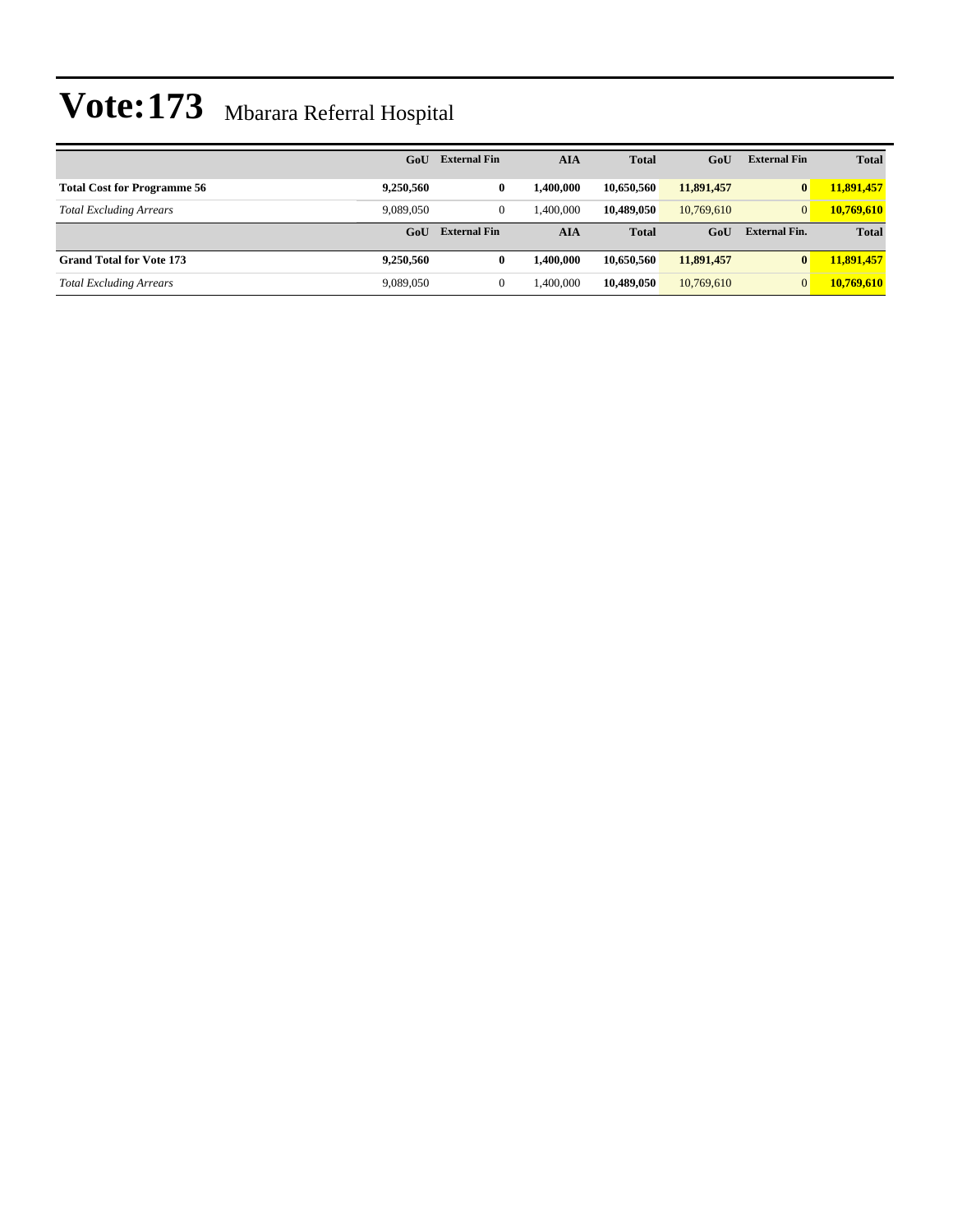|                                    | GoU       | <b>External Fin</b> | <b>AIA</b> | <b>Total</b> | GoU        | <b>External Fin</b>  | <b>Total</b> |
|------------------------------------|-----------|---------------------|------------|--------------|------------|----------------------|--------------|
| <b>Total Cost for Programme 56</b> | 9,250,560 | $\bf{0}$            | 1.400.000  | 10.650.560   | 11,891,457 | $\mathbf{0}$         | 11,891,457   |
| <b>Total Excluding Arrears</b>     | 9.089.050 | $\mathbf{0}$        | 1.400.000  | 10.489,050   | 10.769.610 | $\overline{0}$       | 10,769,610   |
|                                    | GoU       | <b>External Fin</b> | <b>AIA</b> | <b>Total</b> | GoU        | <b>External Fin.</b> | <b>Total</b> |
| <b>Grand Total for Vote 173</b>    | 9,250,560 | 0                   | 1.400.000  | 10.650.560   | 11,891,457 | $\bf{0}$             | 11,891,457   |
| <b>Total Excluding Arrears</b>     | 9,089,050 | $\overline{0}$      | 1,400,000  | 10,489,050   | 10,769,610 | $\overline{0}$       | 10,769,610   |